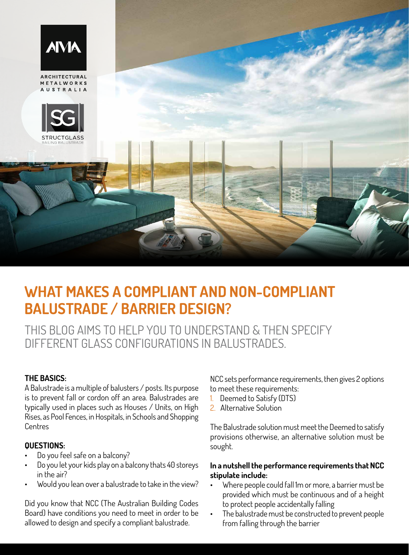

# **WHAT MAKES A COMPLIANT AND NON-COMPLIANT BALUSTRADE / BARRIER DESIGN?**

THIS BLOG AIMS TO HELP YOU TO UNDERSTAND & THEN SPECIFY DIFFERENT GLASS CONFIGURATIONS IN BALUSTRADES.

# **THE BASICS:**

A Balustrade is a multiple of balusters / posts. Its purpose is to prevent fall or cordon off an area. Balustrades are typically used in places such as Houses / Units, on High Rises, as Pool Fences, in Hospitals, in Schools and Shopping Centres

# **QUESTIONS:**

- Do you feel safe on a balcony?
- Do you let your kids play on a balcony thats 40 storeys in the air?
- Would you lean over a balustrade to take in the view?

Did you know that NCC (The Australian Building Codes Board) have conditions you need to meet in order to be allowed to design and specify a compliant balustrade.

NCC sets performance requirements, then gives 2 options to meet these requirements:

- 1. Deemed to Satisfy (DTS)
- 2 Alternative Solution

The Balustrade solution must meet the Deemed to satisfy provisions otherwise, an alternative solution must be sought.

# **In a nutshell the performance requirements that NCC stipulate include:**

- Where people could fall 1m or more, a barrier must be provided which must be continuous and of a height to protect people accidentally falling
- The balustrade must be constructed to prevent people from falling through the barrier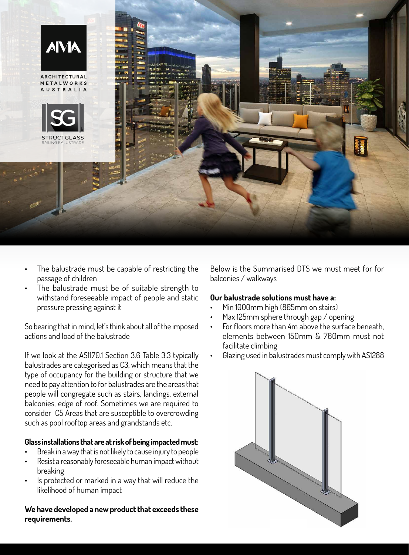

- The balustrade must be capable of restricting the passage of children
- The balustrade must be of suitable strength to withstand foreseeable impact of people and static pressure pressing against it

So bearing that in mind, let's think about all of the imposed actions and load of the balustrade

If we look at the AS1170.1 Section 3.6 Table 3.3 typically balustrades are categorised as C3, which means that the type of occupancy for the building or structure that we need to pay attention to for balustrades are the areas that people will congregate such as stairs, landings, external balconies, edge of roof. Sometimes we are required to consider C5 Areas that are susceptible to overcrowding such as pool rooftop areas and grandstands etc.

#### **Glass installations that are at risk of being impacted must:**

- Break in a way that is not likely to cause injury to people
- Resist a reasonably foreseeable human impact without breaking
- Is protected or marked in a way that will reduce the likelihood of human impact

**We have developed a new product that exceeds these requirements.** 

Below is the Summarised DTS we must meet for for balconies / walkways

### **Our balustrade solutions must have a:**

- Min 1000mm high (865mm on stairs)
- Max 125mm sphere through gap / opening
- For floors more than 4m above the surface beneath, elements between 150mm & 760mm must not facilitate climbing
- Glazing used in balustrades must comply with AS1288



WEIGHT 15 / 17 BEARING AVE

PHONE: 61 7 5493 8333

GLASS BALUSTRADE 1 OF 15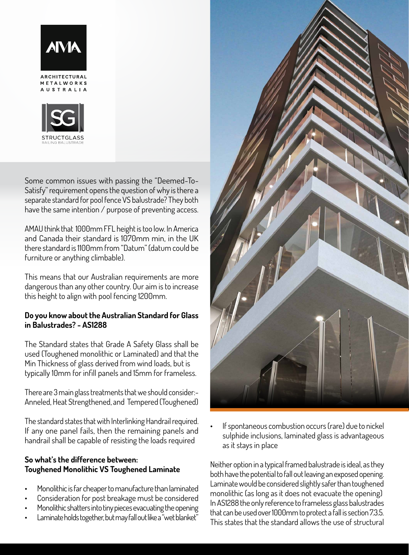

**ARCHITECTURAL** METALWORKS **AUSTRAILA** 



Some common issues with passing the "Deemed-To-Satisfy" requirement opens the question of why is there a separate standard for pool fence VS balustrade? They both have the same intention / purpose of preventing access.

AMAU think that 1000mm FFL height is too low. In America and Canada their standard is 1070mm min, in the UK there standard is 1100mm from "Datum" (datum could be furniture or anything climbable).

This means that our Australian requirements are more dangerous than any other country. Our aim is to increase this height to align with pool fencing 1200mm.

# **Do you know about the Australian Standard for Glass in Balustrades? - AS1288**

The Standard states that Grade A Safety Glass shall be used (Toughened monolithic or Laminated) and that the Min Thickness of glass derived from wind loads, but is typically 10mm for infill panels and 15mm for frameless.

There are 3 main glass treatments that we should consider:- Anneled, Heat Strengthened, and Tempered (Toughened)

The standard states that with Interlinking Handrail required. If any one panel fails, then the remaining panels and handrail shall be capable of resisting the loads required

## **So what's the difference between: Toughened Monolithic VS Toughened Laminate**

- Monolithic is far cheaper to manufacture than laminated
- Consideration for post breakage must be considered
- Monolithic shatters into tiny pieces evacuating the opening
- Laminate holds together, but may fall out like a "wet blanket"



If spontaneous combustion occurs (rare) due to nickel sulphide inclusions, laminated glass is advantageous as it stays in place

Neither option in a typical framed balustrade is ideal, as they both have the potential to fall out leaving an exposed opening. Laminate would be considered slightly safer than toughened monolithic (as long as it does not evacuate the opening) In AS1288 the only reference to frameless glass balustrades that can be used over 1000mm to protect a fall is section 7.3.5. This states that the standard allows the use of structural